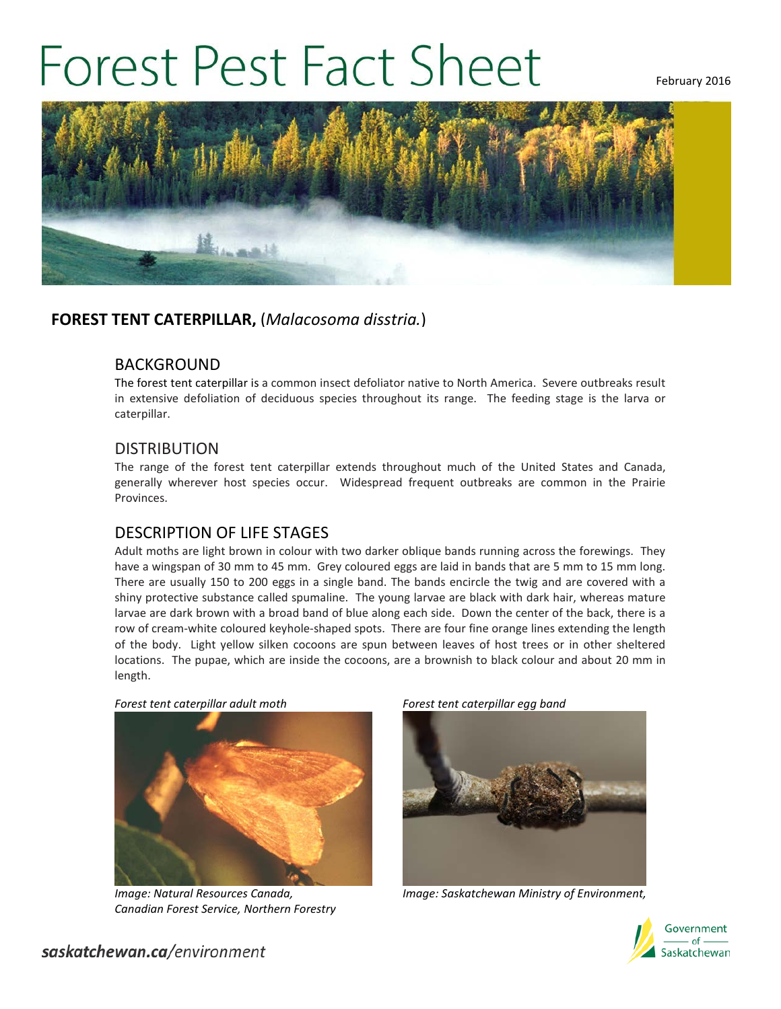# **Forest Pest Fact Sheet**

February 2016



## **FOREST TENT CATERPILLAR,** (*Malacosoma disstria.*)

## BACKGROUND

The forest tent caterpillar is a common insect defoliator native to North America. Severe outbreaks result in extensive defoliation of deciduous species throughout its range. The feeding stage is the larva or caterpillar.

## DISTRIBUTION

The range of the forest tent caterpillar extends throughout much of the United States and Canada, generally wherever host species occur. Widespread frequent outbreaks are common in the Prairie Provinces.

## DESCRIPTION OF LIFE STAGES

Adult moths are light brown in colour with two darker oblique bands running across the forewings. They have a wingspan of 30 mm to 45 mm. Grey coloured eggs are laid in bands that are 5 mm to 15 mm long. There are usually 150 to 200 eggs in a single band. The bands encircle the twig and are covered with a shiny protective substance called spumaline. The young larvae are black with dark hair, whereas mature larvae are dark brown with a broad band of blue along each side. Down the center of the back, there is a row of cream-white coloured keyhole-shaped spots. There are four fine orange lines extending the length of the body. Light yellow silken cocoons are spun between leaves of host trees or in other sheltered locations. The pupae, which are inside the cocoons, are a brownish to black colour and about 20 mm in length.

*Forest tent caterpillar adult moth*



*Image: Natural Resources Canada, Canadian Forest Service, Northern Forestry* 





*Image: Saskatchewan Ministry of Environment,*

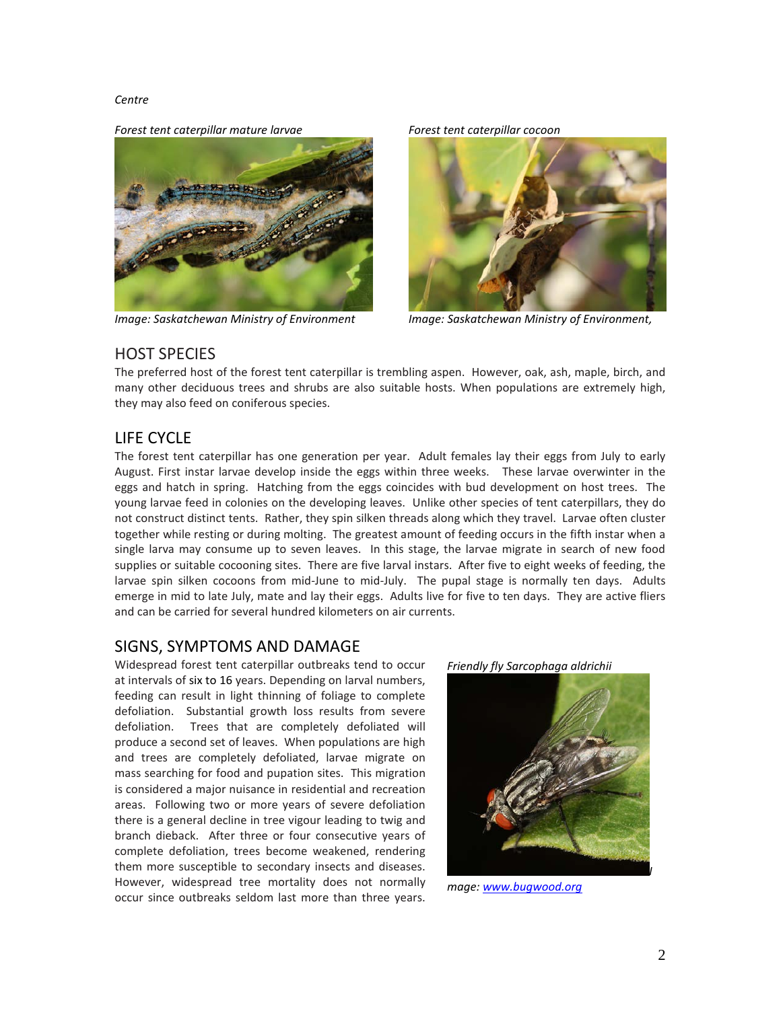#### *Centre*

*Forest tent caterpillar mature larvae*



*Image: Saskatchewan Ministry of Environment*

*Forest tent caterpillar cocoon*



*Image: Saskatchewan Ministry of Environment,*

#### HOST SPECIES

The preferred host of the forest tent caterpillar is trembling aspen. However, oak, ash, maple, birch, and many other deciduous trees and shrubs are also suitable hosts. When populations are extremely high, they may also feed on coniferous species.

### LIFE CYCLE

The forest tent caterpillar has one generation per year. Adult females lay their eggs from July to early August. First instar larvae develop inside the eggs within three weeks. These larvae overwinter in the eggs and hatch in spring. Hatching from the eggs coincides with bud development on host trees. The young larvae feed in colonies on the developing leaves. Unlike other species of tent caterpillars, they do not construct distinct tents. Rather, they spin silken threads along which they travel. Larvae often cluster together while resting or during molting. The greatest amount of feeding occurs in the fifth instar when a single larva may consume up to seven leaves. In this stage, the larvae migrate in search of new food supplies or suitable cocooning sites. There are five larval instars. After five to eight weeks of feeding, the larvae spin silken cocoons from mid-June to mid-July. The pupal stage is normally ten days. Adults emerge in mid to late July, mate and lay their eggs. Adults live for five to ten days. They are active fliers and can be carried for several hundred kilometers on air currents.

## SIGNS, SYMPTOMS AND DAMAGE

Widespread forest tent caterpillar outbreaks tend to occur at intervals of six to 16 years. Depending on larval numbers, feeding can result in light thinning of foliage to complete defoliation. Substantial growth loss results from severe defoliation. Trees that are completely defoliated will produce a second set of leaves. When populations are high and trees are completely defoliated, larvae migrate on mass searching for food and pupation sites. This migration is considered a major nuisance in residential and recreation areas. Following two or more years of severe defoliation there is a general decline in tree vigour leading to twig and branch dieback. After three or four consecutive years of complete defoliation, trees become weakened, rendering them more susceptible to secondary insects and diseases. However, widespread tree mortality does not normally occur since outbreaks seldom last more than three years.



*mage[: www.bugwood.org](http://www.bugwood.org/)*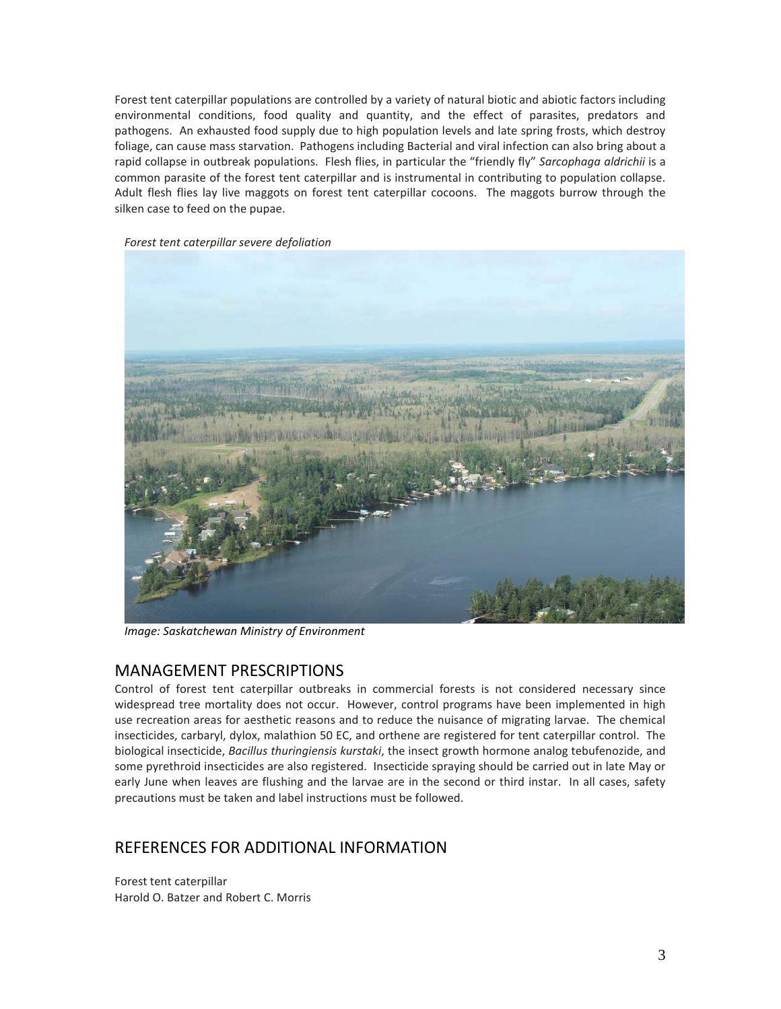Forest tent caterpillar populations are controlled by a variety of natural biotic and abiotic factors including environmental conditions, food quality and quantity, and the effect of parasites, predators and pathogens. An exhausted food supply due to high population levels and late spring frosts, which destroy foliage, can cause mass starvation. Pathogens including Bacterial and viral infection can also bring about a rapid collapse in outbreak populations. Flesh flies, in particular the "friendly fly" *Sarcophaga aldrichii* is a common parasite of the forest tent caterpillar and is instrumental in contributing to population collapse. Adult flesh flies lay live maggots on forest tent caterpillar cocoons. The maggots burrow through the silken case to feed on the pupae.

*Forest tent caterpillar severe defoliation*



*Image: Saskatchewan Ministry of Environment*

### MANAGEMENT PRESCRIPTIONS

Control of forest tent caterpillar outbreaks in commercial forests is not considered necessary since widespread tree mortality does not occur. However, control programs have been implemented in high use recreation areas for aesthetic reasons and to reduce the nuisance of migrating larvae. The chemical insecticides, carbaryl, dylox, malathion 50 EC, and orthene are registered for tent caterpillar control. The biological insecticide, *Bacillus thuringiensis kurstaki*, the insect growth hormone analog tebufenozide, and some pyrethroid insecticides are also registered. Insecticide spraying should be carried out in late May or early June when leaves are flushing and the larvae are in the second or third instar. In all cases, safety precautions must be taken and label instructions must be followed.

## REFERENCES FOR ADDITIONAL INFORMATION

Forest tent caterpillar Harold O. Batzer and Robert C. Morris